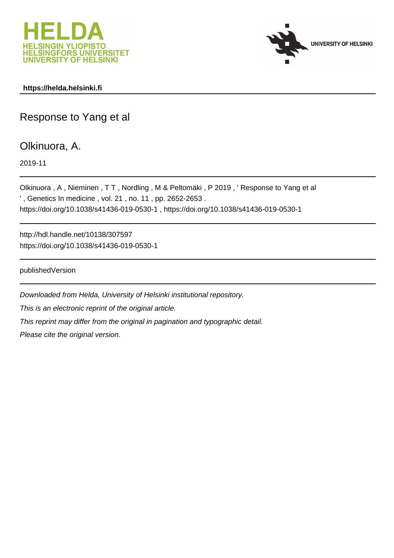



#### **https://helda.helsinki.fi**

# Response to Yang et al

### Olkinuora, A.

2019-11

Olkinuora , A , Nieminen , T T , Nordling , M & Peltomäki , P 2019 , ' Response to Yang et al ' , Genetics In medicine , vol. 21 , no. 11 , pp. 2652-2653 . https://doi.org/10.1038/s41436-019-0530-1 , https://doi.org/10.1038/s41436-019-0530-1

http://hdl.handle.net/10138/307597 https://doi.org/10.1038/s41436-019-0530-1

publishedVersion

Downloaded from Helda, University of Helsinki institutional repository. This is an electronic reprint of the original article. This reprint may differ from the original in pagination and typographic detail. Please cite the original version.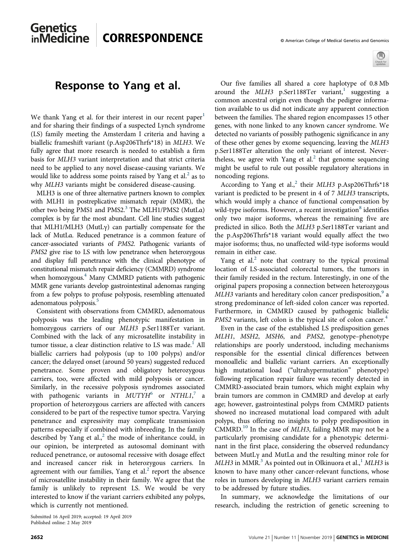

# Genetics<br>inMedicine CORRESPONDENCE © American College of Medical Genetics and Genomics

### Response to Yang et al.

We thank Yang et al. for their interest in our recent paper<sup>1</sup> and for sharing their findings of a suspected Lynch syndrome (LS) family meeting the Amsterdam I criteria and having a biallelic frameshift variant (p.Asp206Thrfs\*18) in MLH3. We fully agree that more research is needed to establish a firm basis for MLH3 variant interpretation and that strict criteria need to be applied to any novel disease-causing variants. We would like to address some points raised by Yang et al. $<sup>2</sup>$  as to</sup> why MLH3 variants might be considered disease-causing.

MLH3 is one of three alternative partners known to complex with MLH1 in postreplicative mismatch repair (MMR), the other two being PMS1 and PMS2.<sup>3</sup> The MLH1/PMS2 (MutLa) complex is by far the most abundant. Cell line studies suggest that MLH1/MLH3 (MutLγ) can partially compensate for the lack of MutLα. Reduced penetrance is a common feature of cancer-associated variants of PMS2. Pathogenic variants of PMS2 give rise to LS with low penetrance when heterozygous and display full penetrance with the clinical phenotype of constitutional mismatch repair deficiency (CMMRD) syndrome when homozygous.<sup>4</sup> Many CMMRD patients with pathogenic MMR gene variants develop gastrointestinal adenomas ranging from a few polyps to profuse polyposis, resembling attenuated adenomatous polyposis.<sup>5</sup>

Consistent with observations from CMMRD, adenomatous polyposis was the leading phenotypic manifestation in homozygous carriers of our MLH3 p.Ser1188Ter variant. Combined with the lack of any microsatellite instability in tumor tissue, a clear distinction relative to LS was made.<sup>1</sup> All biallelic carriers had polyposis (up to 100 polyps) and/or cancer; the delayed onset (around 50 years) suggested reduced penetrance. Some proven and obligatory heterozygous carriers, too, were affected with mild polyposis or cancer. Similarly, in the recessive polyposis syndromes associated with pathogenic variants in  $MUTYH^6$  or  $NTHLI$ ,<sup>7</sup> a proportion of heterozygous carriers are affected with cancers considered to be part of the respective tumor spectra. Varying penetrance and expressivity may complicate transmission patterns especially if combined with inbreeding. In the family described by Yang et al., $<sup>2</sup>$  the mode of inheritance could, in</sup> our opinion, be interpreted as autosomal dominant with reduced penetrance, or autosomal recessive with dosage effect and increased cancer risk in heterozygous carriers. In agreement with our families, Yang et al. $<sup>2</sup>$  report the absence</sup> of microsatellite instability in their family. We agree that the family is unlikely to represent LS. We would be very interested to know if the variant carriers exhibited any polyps, which is currently not mentioned.

Submitted 16 April 2019; accepted: 19 April 2019 Published online: 2 May 2019

Our five families all shared a core haplotype of 0.8 Mb around the  $MLH3$  p.Ser1188Ter variant,<sup>1</sup> suggesting a common ancestral origin even though the pedigree information available to us did not indicate any apparent connection between the families. The shared region encompasses 15 other genes, with none linked to any known cancer syndrome. We detected no variants of possibly pathogenic significance in any of these other genes by exome sequencing, leaving the MLH3 p.Ser1188Ter alteration the only variant of interest. Nevertheless, we agree with Yang et al. $2$  that genome sequencing might be useful to rule out possible regulatory alterations in noncoding regions.

According to Yang et al.,<sup>2</sup> their MLH3 p.Asp206Thrfs\*18 variant is predicted to be present in 4 of 7 MLH3 transcripts, which would imply a chance of functional compensation by wild-type isoforms. However, a recent investigation<sup>8</sup> identifies only two major isoforms, whereas the remaining five are predicted in silico. Both the MLH3 p.Ser1188Ter variant and the p.Asp206Thrfs\*18 variant would equally affect the two major isoforms; thus, no unaffected wild-type isoforms would remain in either case.

Yang et al. $<sup>2</sup>$  note that contrary to the typical proximal</sup> location of LS-associated colorectal tumors, the tumors in their family resided in the rectum. Interestingly, in one of the original papers proposing a connection between heterozygous  $MLH3$  variants and hereditary colon cancer predisposition, $9$  a strong predominance of left-sided colon cancer was reported. Furthermore, in CMMRD caused by pathogenic biallelic PMS2 variants, left colon is the typical site of colon cancer.<sup>4</sup>

Even in the case of the established LS predisposition genes MLH1, MSH2, MSH6, and PMS2, genotype–phenotype relationships are poorly understood, including mechanisms responsible for the essential clinical differences between monoallelic and biallelic variant carriers. An exceptionally high mutational load ("ultrahypermutation" phenotype) following replication repair failure was recently detected in CMMRD-associated brain tumors, which might explain why brain tumors are common in CMMRD and develop at early age; however, gastrointestinal polyps from CMMRD patients showed no increased mutational load compared with adult polyps, thus offering no insights to polyp predisposition in CMMRD.<sup>10</sup> In the case of MLH3, failing MMR may not be a particularly promising candidate for a phenotypic determinant in the first place, considering the observed redundancy between MutLγ and MutLα and the resulting minor role for  $MLH3$  in MMR.<sup>3</sup> As pointed out in Olkinuora et al.,<sup>1</sup> MLH3 is known to have many other cancer-relevant functions, whose roles in tumors developing in MLH3 variant carriers remain to be addressed by future studies.

In summary, we acknowledge the limitations of our research, including the restriction of genetic screening to